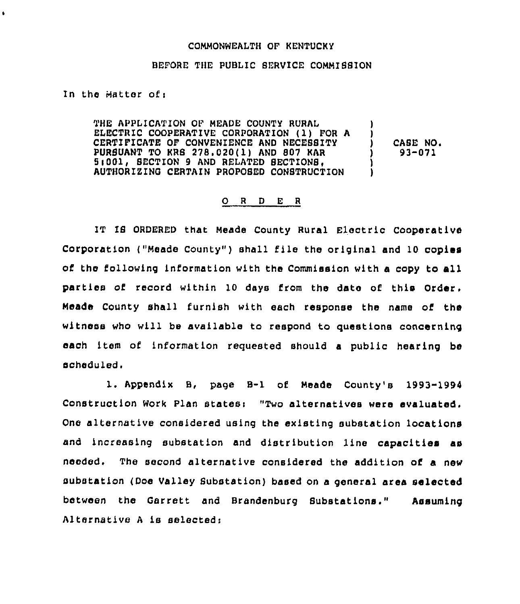## COMMONWEALTH OF KENTUCKY

## BEFORE THE PUBLIC SERVICE COMMISBION

In the Matter of:

 $\bullet$ 

THE APPLICATION OF MEADE COUNTY RURAL ELECTRIC COOPERATIVE CORPORATION (1) FOR <sup>A</sup> CERTIFICATE OF CONVENIENCE AND NECESBITY PURSUANT TO KRS 278.020(1) AND 807 KAR 5(001, SECTION 9 AND RELATED SECTIONS. AUTHORIZING CERTAIN PROPOSED CONSTRUCTION ) ) CASE NO. ) 93-071 ) )

## 0 <sup>R</sup> <sup>D</sup> E <sup>R</sup>

IT IB ORDERED that Meade County Rural Electric Cooperative Corporation ("Meade County") shall file the original and 10 copies of the following information with the Commission with <sup>a</sup> copy to all parties of record within 10 days from the date of this Order, Meade County shall furnish with each response the name of the witness who will be available to respond to questions concerning each item of information requested should a public hearing be scheduled.

l. Appendix B, page B-1 of Meade County's 1993-1994 Construction Work Plan states: "Two alternatives were evaluated. One alternative considered using the existing substation locations and increasing substation and distribution line capacities as needed. The second alternative considered the addition of a new substation (Doe Valley Substation) based on a general area selected between the Garrett and Brandenburg Bubstations." Assuming Alternative <sup>A</sup> is selected: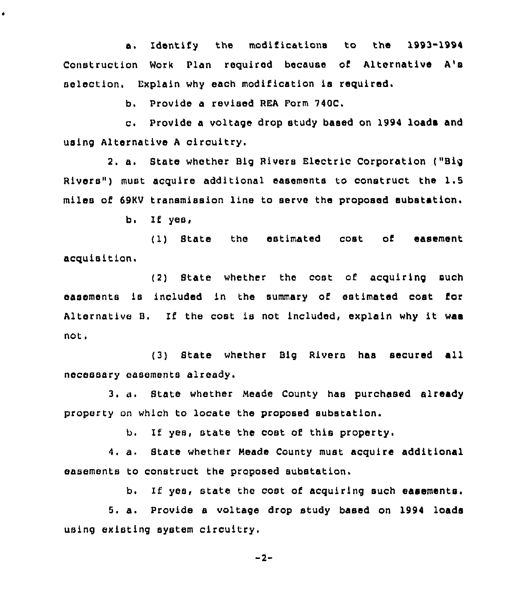a. Identify the modifications to the 1993-1994 Construction Work Plan required because of Alternative A's selection. Explain why each modification is required.

b. Provide a revised REA Form 740C.

c. Provide <sup>a</sup> voltage drop study based on 1994 loads and using Alternative <sup>A</sup> circuitry.

2. a. State whether Big Rivers Electric Corporation ("Big Rivers") must acquire additional easements to construct the 1.5 miles of 69KV transmission line to serve the proposed substation.

 $b.$  If yes,

 $\bullet$ 

( 1) State the estimated cost of easement acquisition.

(2) State whether the cost of acquiring such easements is included in the summary of estimated cost for Alternative B. If the cost is not included, explain why it was not.

(3) State whether Big Rivers has secured all necessary easements already.

3. a. State whether Neade County has purchased already property on which to locate the proposed substation.

b. If yes, state the cost of this property.

4. a. Btate whether Neade County must acquire additional easements to construct the proposed substation.

b. If yes, state the cost of acquiring such easements.

5. a. Provide <sup>a</sup> voltage drop study based on 1994 loads using existing system circuitry.

 $-2-$